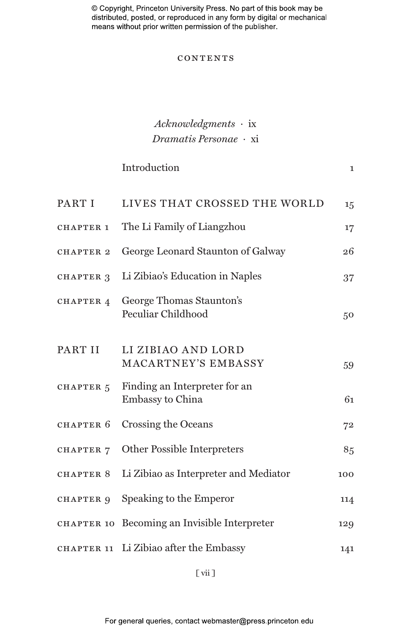© Copyright, Princeton University Press. No part of this book may be distributed, posted, or reproduced in any form by digital or mechanical means without prior written permission of the publisher.

### **CONTENTS**

### *Acknowledgments ·* ix *Dramatis Personae ·* xi

## Introduction 1 PART I LIVES THAT CROSSED THE WORLD 15 CHAPTER 1 The Li Family of Liangzhou 17 chapter 2 George Leonard Staunton of Galway 26 chapter 3 Li Zibiao's Education in Naples 37 CHAPTER 4 George Thomas Staunton's Peculiar Childhood 50 PART II LI ZIBIAO AND LORD MACARTNEY'S EMBASSY 59 CHAPTER  $5$  Finding an Interpreter for an Embassy to China 61 CHAPTER 6 Crossing the Oceans 72 CHAPTER 7 Other Possible Interpreters 85 chapter 8 Li Zibiao as Interpreter and Mediator 100 CHAPTER 9 Speaking to the Emperor 114 chapter 10 Becoming an Invisible Interpreter 129

chapter 11 Li Zibiao after the Embassy 141

[ vii ]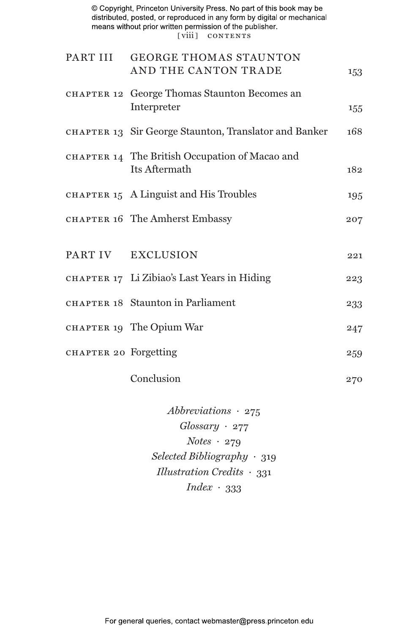© Copyright, Princeton University Press. No part of this book may be distributed, posted, or reproduced in any form by digital or mechanical means without prior written permission of the publisher. [viii] CONTENTS

|                       | PART III GEORGE THOMAS STAUNTON<br>AND THE CANTON TRADE         | 153 |
|-----------------------|-----------------------------------------------------------------|-----|
|                       | CHAPTER 12 George Thomas Staunton Becomes an<br>Interpreter     | 155 |
|                       | CHAPTER 13 Sir George Staunton, Translator and Banker           | 168 |
|                       | CHAPTER 14 The British Occupation of Macao and<br>Its Aftermath | 182 |
|                       | CHAPTER 15 A Linguist and His Troubles                          | 195 |
|                       | CHAPTER 16 The Amherst Embassy                                  | 207 |
|                       | PART IV EXCLUSION                                               | 221 |
|                       | CHAPTER 17 Li Zibiao's Last Years in Hiding                     | 223 |
|                       | CHAPTER 18 Staunton in Parliament                               | 233 |
|                       | CHAPTER 19 The Opium War                                        | 247 |
| CHAPTER 20 Forgetting |                                                                 | 259 |
|                       |                                                                 |     |

Conclusion 270

*Abbreviations ·* 275 *Glossary ·* 277 *Notes ·* 279 *Selected Bibliography ·* 319 *Illustration Credits ·* 331 *Index ·* 333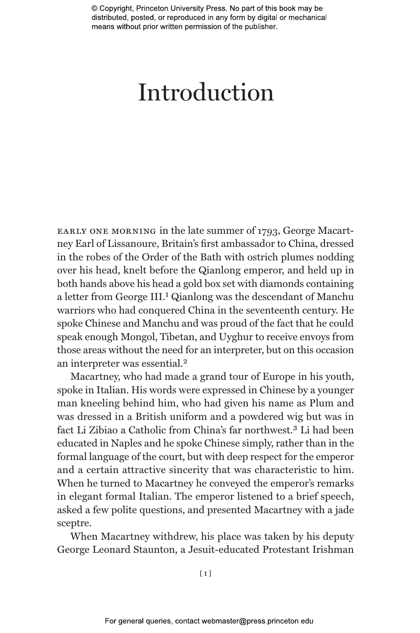© Copyright, Princeton University Press. No part of this book may be distributed, posted, or reproduced in any form by digital or mechanical means without prior written permission of the publisher.

# Introduction

early one morning in the late summer of 1793, George Macartney Earl of Lissanoure, Britain's first ambassador to China, dressed in the robes of the Order of the Bath with ostrich plumes nodding over his head, knelt before the Qianlong emperor, and held up in both hands above his head a gold box set with diamonds containing a letter from George III.1 Qianlong was the descendant of Manchu warriors who had conquered China in the seventeenth century. He spoke Chinese and Manchu and was proud of the fact that he could speak enough Mongol, Tibetan, and Uyghur to receive envoys from those areas without the need for an interpreter, but on this occasion an interpreter was essential.2

Macartney, who had made a grand tour of Europe in his youth, spoke in Italian. His words were expressed in Chinese by a younger man kneeling behind him, who had given his name as Plum and was dressed in a British uniform and a powdered wig but was in fact Li Zibiao a Catholic from China's far northwest.3 Li had been educated in Naples and he spoke Chinese simply, rather than in the formal language of the court, but with deep respect for the emperor and a certain attractive sincerity that was characteristic to him. When he turned to Macartney he conveyed the emperor's remarks in elegant formal Italian. The emperor listened to a brief speech, asked a few polite questions, and presented Macartney with a jade sceptre.

When Macartney withdrew, his place was taken by his deputy George Leonard Staunton, a Jesuit-educated Protestant Irishman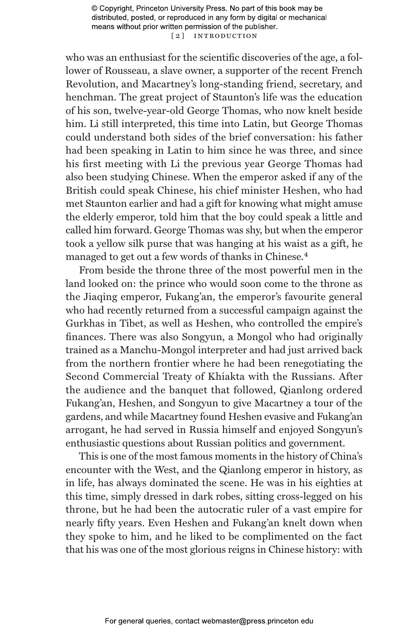© Copyright, Princeton University Press. No part of this book may be distributed, posted, or reproduced in any form by digital or mechanical means without prior written permission of the publisher. [2] INTRODUCTION

who was an enthusiast for the scientific discoveries of the age, a follower of Rousseau, a slave owner, a supporter of the recent French Revolution, and Macartney's long-standing friend, secretary, and henchman. The great project of Staunton's life was the education of his son, twelve-year-old George Thomas, who now knelt beside him. Li still interpreted, this time into Latin, but George Thomas could understand both sides of the brief conversation: his father had been speaking in Latin to him since he was three, and since his first meeting with Li the previous year George Thomas had also been studying Chinese. When the emperor asked if any of the British could speak Chinese, his chief minister Heshen, who had met Staunton earlier and had a gift for knowing what might amuse the elderly emperor, told him that the boy could speak a little and called him forward. George Thomas was shy, but when the emperor took a yellow silk purse that was hanging at his waist as a gift, he managed to get out a few words of thanks in Chinese.4

From beside the throne three of the most powerful men in the land looked on: the prince who would soon come to the throne as the Jiaqing emperor, Fukang'an, the emperor's favourite general who had recently returned from a successful campaign against the Gurkhas in Tibet, as well as Heshen, who controlled the empire's finances. There was also Songyun, a Mongol who had originally trained as a Manchu-Mongol interpreter and had just arrived back from the northern frontier where he had been renegotiating the Second Commercial Treaty of Khiakta with the Russians. After the audience and the banquet that followed, Qianlong ordered Fukang'an, Heshen, and Songyun to give Macartney a tour of the gardens, and while Macartney found Heshen evasive and Fukang'an arrogant, he had served in Russia himself and enjoyed Songyun's enthusiastic questions about Russian politics and government.

This is one of the most famous moments in the history of China's encounter with the West, and the Qianlong emperor in history, as in life, has always dominated the scene. He was in his eighties at this time, simply dressed in dark robes, sitting cross-legged on his throne, but he had been the autocratic ruler of a vast empire for nearly fifty years. Even Heshen and Fukang'an knelt down when they spoke to him, and he liked to be complimented on the fact that his was one of the most glorious reigns in Chinese history: with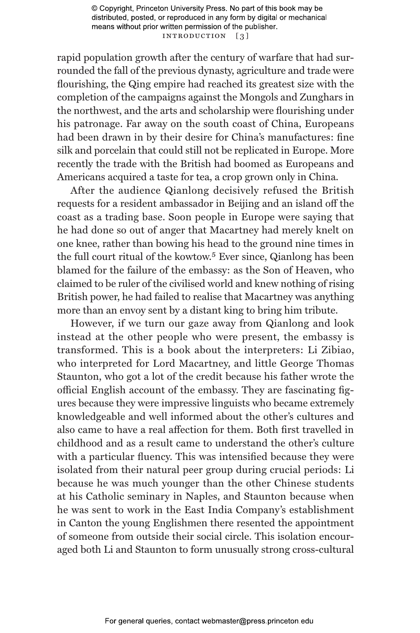© Copyright, Princeton University Press. No part of this book may be distributed, posted, or reproduced in any form by digital or mechanical means without prior written permission of the publisher. INTRODUCTION [3]

rapid population growth after the century of warfare that had surrounded the fall of the previous dynasty, agriculture and trade were flourishing, the Qing empire had reached its greatest size with the completion of the campaigns against the Mongols and Zunghars in the northwest, and the arts and scholarship were flourishing under his patronage. Far away on the south coast of China, Europeans had been drawn in by their desire for China's manufactures: fine silk and porcelain that could still not be replicated in Europe. More recently the trade with the British had boomed as Europeans and Americans acquired a taste for tea, a crop grown only in China.

After the audience Qianlong decisively refused the British requests for a resident ambassador in Beijing and an island off the coast as a trading base. Soon people in Europe were saying that he had done so out of anger that Macartney had merely knelt on one knee, rather than bowing his head to the ground nine times in the full court ritual of the kowtow.<sup>5</sup> Ever since, Qianlong has been blamed for the failure of the embassy: as the Son of Heaven, who claimed to be ruler of the civilised world and knew nothing of rising British power, he had failed to realise that Macartney was anything more than an envoy sent by a distant king to bring him tribute.

However, if we turn our gaze away from Qianlong and look instead at the other people who were present, the embassy is transformed. This is a book about the interpreters: Li Zibiao, who interpreted for Lord Macartney, and little George Thomas Staunton, who got a lot of the credit because his father wrote the official English account of the embassy. They are fascinating figures because they were impressive linguists who became extremely knowledgeable and well informed about the other's cultures and also came to have a real affection for them. Both first travelled in childhood and as a result came to understand the other's culture with a particular fluency. This was intensified because they were isolated from their natural peer group during crucial periods: Li because he was much younger than the other Chinese students at his Catholic seminary in Naples, and Staunton because when he was sent to work in the East India Company's establishment in Canton the young Englishmen there resented the appointment of someone from outside their social circle. This isolation encouraged both Li and Staunton to form unusually strong cross-cultural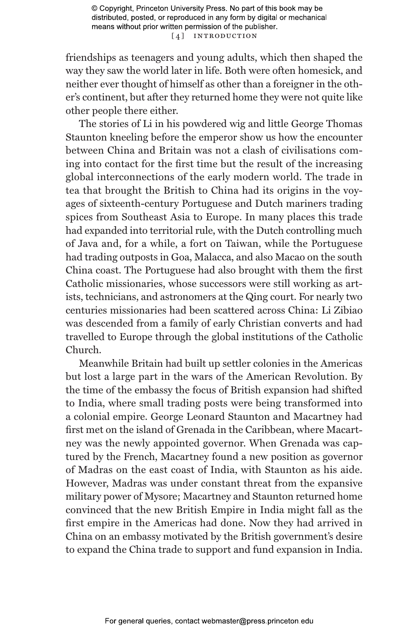friendships as teenagers and young adults, which then shaped the way they saw the world later in life. Both were often homesick, and neither ever thought of himself as other than a foreigner in the other's continent, but after they returned home they were not quite like other people there either.

The stories of Li in his powdered wig and little George Thomas Staunton kneeling before the emperor show us how the encounter between China and Britain was not a clash of civilisations coming into contact for the first time but the result of the increasing global interconnections of the early modern world. The trade in tea that brought the British to China had its origins in the voyages of sixteenth-century Portuguese and Dutch mariners trading spices from Southeast Asia to Europe. In many places this trade had expanded into territorial rule, with the Dutch controlling much of Java and, for a while, a fort on Taiwan, while the Portuguese had trading outposts in Goa, Malacca, and also Macao on the south China coast. The Portuguese had also brought with them the first Catholic missionaries, whose successors were still working as artists, technicians, and astronomers at the Qing court. For nearly two centuries missionaries had been scattered across China: Li Zibiao was descended from a family of early Christian converts and had travelled to Europe through the global institutions of the Catholic Church.

Meanwhile Britain had built up settler colonies in the Americas but lost a large part in the wars of the American Revolution. By the time of the embassy the focus of British expansion had shifted to India, where small trading posts were being transformed into a colonial empire. George Leonard Staunton and Macartney had first met on the island of Grenada in the Caribbean, where Macartney was the newly appointed governor. When Grenada was captured by the French, Macartney found a new position as governor of Madras on the east coast of India, with Staunton as his aide. However, Madras was under constant threat from the expansive military power of Mysore; Macartney and Staunton returned home convinced that the new British Empire in India might fall as the first empire in the Americas had done. Now they had arrived in China on an embassy motivated by the British government's desire to expand the China trade to support and fund expansion in India.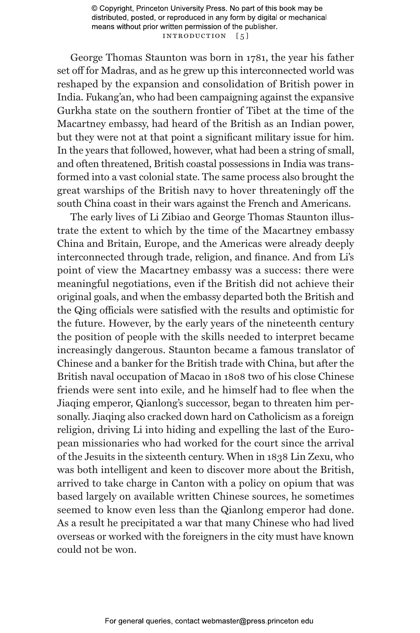© Copyright, Princeton University Press. No part of this book may be distributed, posted, or reproduced in any form by digital or mechanical means without prior written permission of the publisher. INTRODUCTION [5]

George Thomas Staunton was born in 1781, the year his father set off for Madras, and as he grew up this interconnected world was reshaped by the expansion and consolidation of British power in India. Fukang'an, who had been campaigning against the expansive Gurkha state on the southern frontier of Tibet at the time of the Macartney embassy, had heard of the British as an Indian power, but they were not at that point a significant military issue for him. In the years that followed, however, what had been a string of small, and often threatened, British coastal possessions in India was transformed into a vast colonial state. The same process also brought the great warships of the British navy to hover threateningly off the south China coast in their wars against the French and Americans.

The early lives of Li Zibiao and George Thomas Staunton illustrate the extent to which by the time of the Macartney embassy China and Britain, Europe, and the Americas were already deeply interconnected through trade, religion, and finance. And from Li's point of view the Macartney embassy was a success: there were meaningful negotiations, even if the British did not achieve their original goals, and when the embassy departed both the British and the Qing officials were satisfied with the results and optimistic for the future. However, by the early years of the nineteenth century the position of people with the skills needed to interpret became increasingly dangerous. Staunton became a famous translator of Chinese and a banker for the British trade with China, but after the British naval occupation of Macao in 1808 two of his close Chinese friends were sent into exile, and he himself had to flee when the Jiaqing emperor, Qianlong's successor, began to threaten him personally. Jiaqing also cracked down hard on Catholicism as a foreign religion, driving Li into hiding and expelling the last of the European missionaries who had worked for the court since the arrival of the Jesuits in the sixteenth century. When in 1838 Lin Zexu, who was both intelligent and keen to discover more about the British, arrived to take charge in Canton with a policy on opium that was based largely on available written Chinese sources, he sometimes seemed to know even less than the Qianlong emperor had done. As a result he precipitated a war that many Chinese who had lived overseas or worked with the foreigners in the city must have known could not be won.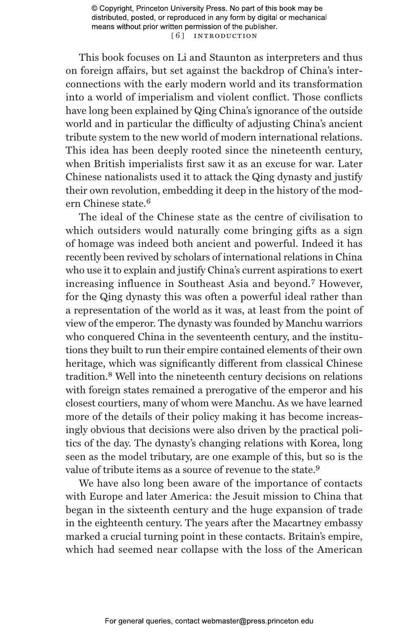© Copyright, Princeton University Press. No part of this book may be distributed, posted, or reproduced in any form by digital or mechanical means without prior written permission of the publisher. [6] INTRODUCTION

This book focuses on Li and Staunton as interpreters and thus on foreign affairs, but set against the backdrop of China's interconnections with the early modern world and its transformation into a world of imperialism and violent conflict. Those conflicts have long been explained by Qing China's ignorance of the outside world and in particular the difficulty of adjusting China's ancient tribute system to the new world of modern international relations. This idea has been deeply rooted since the nineteenth century, when British imperialists first saw it as an excuse for war. Later Chinese nationalists used it to attack the Qing dynasty and justify their own revolution, embedding it deep in the history of the modern Chinese state.<sup>6</sup>

The ideal of the Chinese state as the centre of civilisation to which outsiders would naturally come bringing gifts as a sign of homage was indeed both ancient and powerful. Indeed it has recently been revived by scholars of international relations in China who use it to explain and justify China's current aspirations to exert increasing influence in Southeast Asia and beyond.7 However, for the Qing dynasty this was often a powerful ideal rather than a representation of the world as it was, at least from the point of view of the emperor. The dynasty was founded by Manchu warriors who conquered China in the seventeenth century, and the institutions they built to run their empire contained elements of their own heritage, which was significantly different from classical Chinese tradition.8 Well into the nineteenth century decisions on relations with foreign states remained a prerogative of the emperor and his closest courtiers, many of whom were Manchu. As we have learned more of the details of their policy making it has become increasingly obvious that decisions were also driven by the practical politics of the day. The dynasty's changing relations with Korea, long seen as the model tributary, are one example of this, but so is the value of tribute items as a source of revenue to the state.<sup>9</sup>

We have also long been aware of the importance of contacts with Europe and later America: the Jesuit mission to China that began in the sixteenth century and the huge expansion of trade in the eighteenth century. The years after the Macartney embassy marked a crucial turning point in these contacts. Britain's empire, which had seemed near collapse with the loss of the American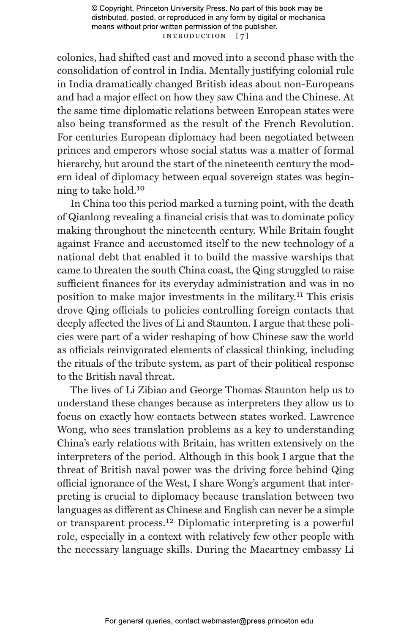© Copyright, Princeton University Press. No part of this book may be distributed, posted, or reproduced in any form by digital or mechanical means without prior written permission of the publisher. INTRODUCTION [7]

colonies, had shifted east and moved into a second phase with the consolidation of control in India. Mentally justifying colonial rule in India dramatically changed British ideas about non-Europeans and had a major effect on how they saw China and the Chinese. At the same time diplomatic relations between European states were also being transformed as the result of the French Revolution. For centuries European diplomacy had been negotiated between princes and emperors whose social status was a matter of formal hierarchy, but around the start of the nineteenth century the modern ideal of diplomacy between equal sovereign states was beginning to take hold.10

In China too this period marked a turning point, with the death of Qianlong revealing a financial crisis that was to dominate policy making throughout the nineteenth century. While Britain fought against France and accustomed itself to the new technology of a national debt that enabled it to build the massive warships that came to threaten the south China coast, the Qing struggled to raise sufficient finances for its everyday administration and was in no position to make major investments in the military.11 This crisis drove Qing officials to policies controlling foreign contacts that deeply affected the lives of Li and Staunton. I argue that these policies were part of a wider reshaping of how Chinese saw the world as officials reinvigorated elements of classical thinking, including the rituals of the tribute system, as part of their political response to the British naval threat.

The lives of Li Zibiao and George Thomas Staunton help us to understand these changes because as interpreters they allow us to focus on exactly how contacts between states worked. Lawrence Wong, who sees translation problems as a key to understanding China's early relations with Britain, has written extensively on the interpreters of the period. Although in this book I argue that the threat of British naval power was the driving force behind Qing official ignorance of the West, I share Wong's argument that interpreting is crucial to diplomacy because translation between two languages as different as Chinese and English can never be a simple or transparent process.12 Diplomatic interpreting is a powerful role, especially in a context with relatively few other people with the necessary language skills. During the Macartney embassy Li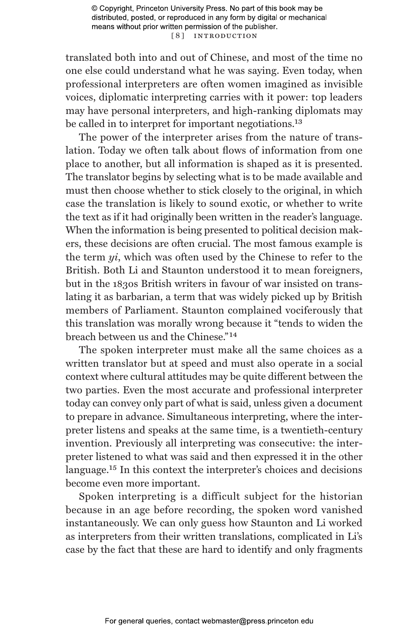© Copyright, Princeton University Press. No part of this book may be distributed, posted, or reproduced in any form by digital or mechanical means without prior written permission of the publisher. [ 8 ] Introduct ion

translated both into and out of Chinese, and most of the time no one else could understand what he was saying. Even today, when professional interpreters are often women imagined as invisible voices, diplomatic interpreting carries with it power: top leaders may have personal interpreters, and high-ranking diplomats may be called in to interpret for important negotiations.<sup>13</sup>

The power of the interpreter arises from the nature of translation. Today we often talk about flows of information from one place to another, but all information is shaped as it is presented. The translator begins by selecting what is to be made available and must then choose whether to stick closely to the original, in which case the translation is likely to sound exotic, or whether to write the text as if it had originally been written in the reader's language. When the information is being presented to political decision makers, these decisions are often crucial. The most famous example is the term *yi*, which was often used by the Chinese to refer to the British. Both Li and Staunton understood it to mean foreigners, but in the 1830s British writers in favour of war insisted on translating it as barbarian, a term that was widely picked up by British members of Parliament. Staunton complained vociferously that this translation was morally wrong because it "tends to widen the breach between us and the Chinese<sup>"14</sup>

The spoken interpreter must make all the same choices as a written translator but at speed and must also operate in a social context where cultural attitudes may be quite different between the two parties. Even the most accurate and professional interpreter today can convey only part of what is said, unless given a document to prepare in advance. Simultaneous interpreting, where the interpreter listens and speaks at the same time, is a twentieth-century invention. Previously all interpreting was consecutive: the interpreter listened to what was said and then expressed it in the other language.15 In this context the interpreter's choices and decisions become even more important.

Spoken interpreting is a difficult subject for the historian because in an age before recording, the spoken word vanished instantaneously. We can only guess how Staunton and Li worked as interpreters from their written translations, complicated in Li's case by the fact that these are hard to identify and only fragments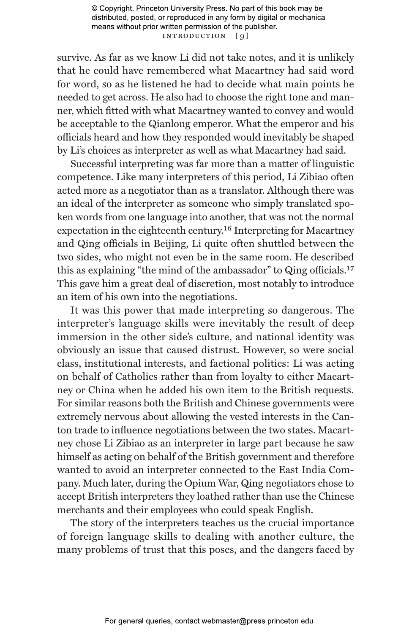© Copyright, Princeton University Press. No part of this book may be distributed, posted, or reproduced in any form by digital or mechanical means without prior written permission of the publisher. INTRODUCTION [9]

survive. As far as we know Li did not take notes, and it is unlikely that he could have remembered what Macartney had said word for word, so as he listened he had to decide what main points he needed to get across. He also had to choose the right tone and manner, which fitted with what Macartney wanted to convey and would be acceptable to the Qianlong emperor. What the emperor and his officials heard and how they responded would inevitably be shaped by Li's choices as interpreter as well as what Macartney had said.

Successful interpreting was far more than a matter of linguistic competence. Like many interpreters of this period, Li Zibiao often acted more as a negotiator than as a translator. Although there was an ideal of the interpreter as someone who simply translated spoken words from one language into another, that was not the normal expectation in the eighteenth century.16 Interpreting for Macartney and Qing officials in Beijing, Li quite often shuttled between the two sides, who might not even be in the same room. He described this as explaining "the mind of the ambassador" to Qing officials.<sup>17</sup> This gave him a great deal of discretion, most notably to introduce an item of his own into the negotiations.

It was this power that made interpreting so dangerous. The interpreter's language skills were inevitably the result of deep immersion in the other side's culture, and national identity was obviously an issue that caused distrust. However, so were social class, institutional interests, and factional politics: Li was acting on behalf of Catholics rather than from loyalty to either Macartney or China when he added his own item to the British requests. For similar reasons both the British and Chinese governments were extremely nervous about allowing the vested interests in the Canton trade to influence negotiations between the two states. Macartney chose Li Zibiao as an interpreter in large part because he saw himself as acting on behalf of the British government and therefore wanted to avoid an interpreter connected to the East India Company. Much later, during the Opium War, Qing negotiators chose to accept British interpreters they loathed rather than use the Chinese merchants and their employees who could speak English.

The story of the interpreters teaches us the crucial importance of foreign language skills to dealing with another culture, the many problems of trust that this poses, and the dangers faced by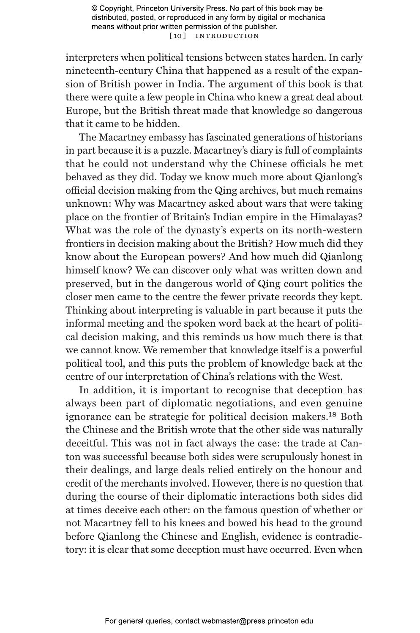© Copyright, Princeton University Press. No part of this book may be distributed, posted, or reproduced in any form by digital or mechanical means without prior written permission of the publisher. [10] INTRODUCTION

interpreters when political tensions between states harden. In early nineteenth-century China that happened as a result of the expansion of British power in India. The argument of this book is that there were quite a few people in China who knew a great deal about Europe, but the British threat made that knowledge so dangerous that it came to be hidden.

The Macartney embassy has fascinated generations of historians in part because it is a puzzle. Macartney's diary is full of complaints that he could not understand why the Chinese officials he met behaved as they did. Today we know much more about Qianlong's official decision making from the Qing archives, but much remains unknown: Why was Macartney asked about wars that were taking place on the frontier of Britain's Indian empire in the Himalayas? What was the role of the dynasty's experts on its north-western frontiers in decision making about the British? How much did they know about the European powers? And how much did Qianlong himself know? We can discover only what was written down and preserved, but in the dangerous world of Qing court politics the closer men came to the centre the fewer private records they kept. Thinking about interpreting is valuable in part because it puts the informal meeting and the spoken word back at the heart of political decision making, and this reminds us how much there is that we cannot know. We remember that knowledge itself is a powerful political tool, and this puts the problem of knowledge back at the centre of our interpretation of China's relations with the West.

In addition, it is important to recognise that deception has always been part of diplomatic negotiations, and even genuine ignorance can be strategic for political decision makers.18 Both the Chinese and the British wrote that the other side was naturally deceitful. This was not in fact always the case: the trade at Canton was successful because both sides were scrupulously honest in their dealings, and large deals relied entirely on the honour and credit of the merchants involved. However, there is no question that during the course of their diplomatic interactions both sides did at times deceive each other: on the famous question of whether or not Macartney fell to his knees and bowed his head to the ground before Qianlong the Chinese and English, evidence is contradictory: it is clear that some deception must have occurred. Even when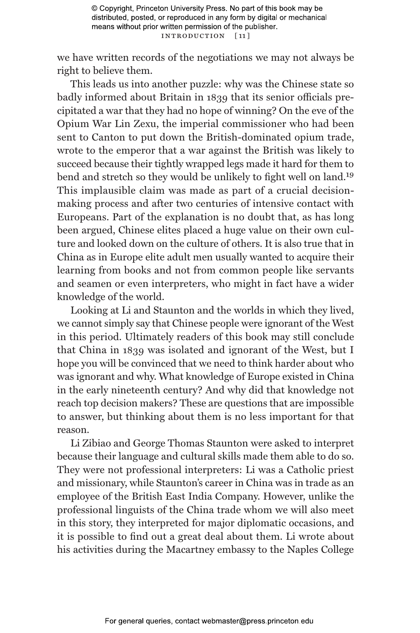we have written records of the negotiations we may not always be right to believe them.

This leads us into another puzzle: why was the Chinese state so badly informed about Britain in 1839 that its senior officials precipitated a war that they had no hope of winning? On the eve of the Opium War Lin Zexu, the imperial commissioner who had been sent to Canton to put down the British-dominated opium trade, wrote to the emperor that a war against the British was likely to succeed because their tightly wrapped legs made it hard for them to bend and stretch so they would be unlikely to fight well on land.19 This implausible claim was made as part of a crucial decisionmaking process and after two centuries of intensive contact with Europeans. Part of the explanation is no doubt that, as has long been argued, Chinese elites placed a huge value on their own culture and looked down on the culture of others. It is also true that in China as in Europe elite adult men usually wanted to acquire their learning from books and not from common people like servants and seamen or even interpreters, who might in fact have a wider knowledge of the world.

Looking at Li and Staunton and the worlds in which they lived, we cannot simply say that Chinese people were ignorant of the West in this period. Ultimately readers of this book may still conclude that China in 1839 was isolated and ignorant of the West, but I hope you will be convinced that we need to think harder about who was ignorant and why. What knowledge of Europe existed in China in the early nineteenth century? And why did that knowledge not reach top decision makers? These are questions that are impossible to answer, but thinking about them is no less important for that reason.

Li Zibiao and George Thomas Staunton were asked to interpret because their language and cultural skills made them able to do so. They were not professional interpreters: Li was a Catholic priest and missionary, while Staunton's career in China was in trade as an employee of the British East India Company. However, unlike the professional linguists of the China trade whom we will also meet in this story, they interpreted for major diplomatic occasions, and it is possible to find out a great deal about them. Li wrote about his activities during the Macartney embassy to the Naples College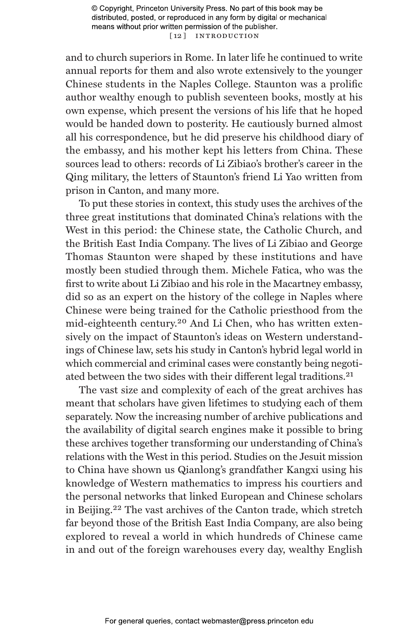© Copyright, Princeton University Press. No part of this book may be distributed, posted, or reproduced in any form by digital or mechanical means without prior written permission of the publisher. [12] INTRODUCTION

and to church superiors in Rome. In later life he continued to write annual reports for them and also wrote extensively to the younger Chinese students in the Naples College. Staunton was a prolific author wealthy enough to publish seventeen books, mostly at his own expense, which present the versions of his life that he hoped would be handed down to posterity. He cautiously burned almost all his correspondence, but he did preserve his childhood diary of the embassy, and his mother kept his letters from China. These sources lead to others: records of Li Zibiao's brother's career in the Qing military, the letters of Staunton's friend Li Yao written from prison in Canton, and many more.

To put these stories in context, this study uses the archives of the three great institutions that dominated China's relations with the West in this period: the Chinese state, the Catholic Church, and the British East India Company. The lives of Li Zibiao and George Thomas Staunton were shaped by these institutions and have mostly been studied through them. Michele Fatica, who was the first to write about Li Zibiao and his role in the Macartney embassy, did so as an expert on the history of the college in Naples where Chinese were being trained for the Catholic priesthood from the mid-eighteenth century.20 And Li Chen, who has written extensively on the impact of Staunton's ideas on Western understandings of Chinese law, sets his study in Canton's hybrid legal world in which commercial and criminal cases were constantly being negotiated between the two sides with their different legal traditions.21

The vast size and complexity of each of the great archives has meant that scholars have given lifetimes to studying each of them separately. Now the increasing number of archive publications and the availability of digital search engines make it possible to bring these archives together transforming our understanding of China's relations with the West in this period. Studies on the Jesuit mission to China have shown us Qianlong's grandfather Kangxi using his knowledge of Western mathematics to impress his courtiers and the personal networks that linked European and Chinese scholars in Beijing.22 The vast archives of the Canton trade, which stretch far beyond those of the British East India Company, are also being explored to reveal a world in which hundreds of Chinese came in and out of the foreign warehouses every day, wealthy English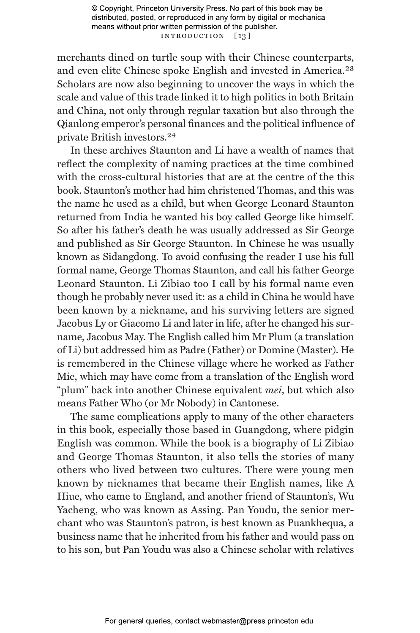© Copyright, Princeton University Press. No part of this book may be distributed, posted, or reproduced in any form by digital or mechanical means without prior written permission of the publisher. INTRODUCTION [13]

merchants dined on turtle soup with their Chinese counterparts, and even elite Chinese spoke English and invested in America.23 Scholars are now also beginning to uncover the ways in which the scale and value of this trade linked it to high politics in both Britain and China, not only through regular taxation but also through the Qianlong emperor's personal finances and the political influence of private British investors.24

In these archives Staunton and Li have a wealth of names that reflect the complexity of naming practices at the time combined with the cross-cultural histories that are at the centre of the this book. Staunton's mother had him christened Thomas, and this was the name he used as a child, but when George Leonard Staunton returned from India he wanted his boy called George like himself. So after his father's death he was usually addressed as Sir George and published as Sir George Staunton. In Chinese he was usually known as Sidangdong. To avoid confusing the reader I use his full formal name, George Thomas Staunton, and call his father George Leonard Staunton. Li Zibiao too I call by his formal name even though he probably never used it: as a child in China he would have been known by a nickname, and his surviving letters are signed Jacobus Ly or Giacomo Li and later in life, after he changed his surname, Jacobus May. The English called him Mr Plum (a translation of Li) but addressed him as Padre (Father) or Domine (Master). He is remembered in the Chinese village where he worked as Father Mie, which may have come from a translation of the English word "plum" back into another Chinese equivalent *mei*, but which also means Father Who (or Mr Nobody) in Cantonese.

The same complications apply to many of the other characters in this book, especially those based in Guangdong, where pidgin English was common. While the book is a biography of Li Zibiao and George Thomas Staunton, it also tells the stories of many others who lived between two cultures. There were young men known by nicknames that became their English names, like A Hiue, who came to England, and another friend of Staunton's, Wu Yacheng, who was known as Assing. Pan Youdu, the senior merchant who was Staunton's patron, is best known as Puankhequa, a business name that he inherited from his father and would pass on to his son, but Pan Youdu was also a Chinese scholar with relatives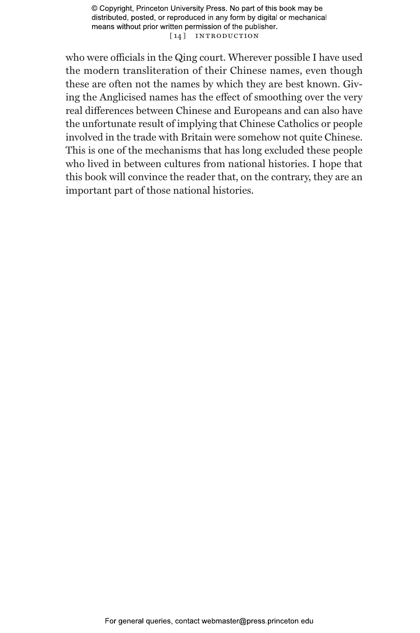© Copyright, Princeton University Press. No part of this book may be distributed, posted, or reproduced in any form by digital or mechanical means without prior written permission of the publisher. [14] INTRODUCTION

who were officials in the Qing court. Wherever possible I have used the modern transliteration of their Chinese names, even though these are often not the names by which they are best known. Giving the Anglicised names has the effect of smoothing over the very real differences between Chinese and Europeans and can also have the unfortunate result of implying that Chinese Catholics or people involved in the trade with Britain were somehow not quite Chinese. This is one of the mechanisms that has long excluded these people who lived in between cultures from national histories. I hope that this book will convince the reader that, on the contrary, they are an important part of those national histories.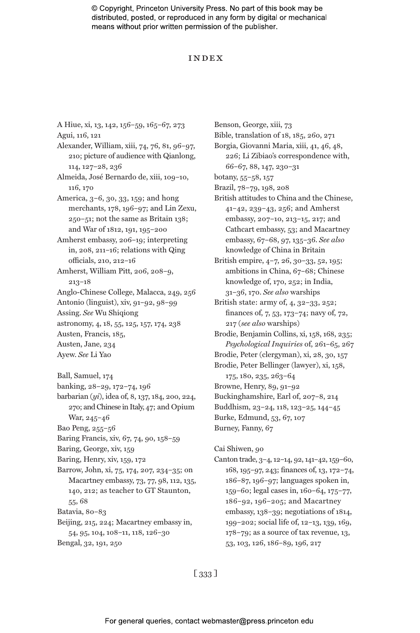© Copyright, Princeton University Press. No part of this book may be distributed, posted, or reproduced in any form by digital or mechanical means without prior written permission of the publisher.

#### Index

A Hiue, xi, 13, 142, 156–59, 165–67, 273 Agui, 116, 121 Alexander, William, xiii, 74, 76, 81, 96–97, 210; picture of audience with Qianlong, 114, 127–28, 236 Almeida, José Bernardo de, xiii, 109–10, 116, 170 America, 3–6, 30, 33, 159; and hong merchants, 178, 196–97; and Lin Zexu, 250–51; not the same as Britain 138; and War of 1812, 191, 195–200 Amherst embassy, 206–19; interpreting in, 208, 211–16; relations with Qing officials, 210, 212–16 Amherst, William Pitt, 206, 208–9, 213–18 Anglo-Chinese College, Malacca, 249, 256 Antonio (linguist), xiv, 91–92, 98–99 Assing. *See* Wu Shiqiong astronomy, 4, 18, 55, 125, 157, 174, 238 Austen, Francis, 185, Austen, Jane, 234 Ayew. *See* Li Yao Ball, Samuel, 174 banking, 28–29, 172–74, 196 barbarian (*yi*), idea of, 8, 137, 184, 200, 224, 270; and Chinese in Italy, 47; and Opium War, 245–46 Bao Peng, 255–56 Baring Francis, xiv, 67, 74, 90, 158–59 Baring, George, xiv, 159 Baring, Henry, xiv, 159, 172 Barrow, John, xi, 75, 174, 207, 234–35; on Macartney embassy, 73, 77, 98, 112, 135, 140, 212; as teacher to GT Staunton, 55, 68 Batavia, 80–83 Beijing, 215, 224; Macartney embassy in, 54, 95, 104, 108–11, 118, 126–30 Bengal, 32, 191, 250

Benson, George, xiii, 73 Bible, translation of 18, 185, 260, 271 Borgia, Giovanni Maria, xiii, 41, 46, 48, 226; Li Zibiao's correspondence with, 66–67, 88, 147, 230–31 botany, 55–58, 157 Brazil, 78–79, 198, 208 British attitudes to China and the Chinese, 41–42, 239–43, 256; and Amherst embassy, 207–10, 213–15, 217; and Cathcart embassy, 53; and Macartney embassy, 67–68, 97, 135–36. *See also* knowledge of China in Britain British empire, 4–7, 26, 30–33, 52, 195; ambitions in China, 67–68; Chinese knowledge of, 170, 252; in India, 31–36, 170. *See also* warships British state: army of, 4, 32–33, 252; finances of, 7, 53, 173–74; navy of, 72, 217 (*see also* warships) Brodie, Benjamin Collins, xi, 158, 168, 235; *Psychological Inquiries* of, 261–65, 267 Brodie, Peter (clergyman), xi, 28, 30, 157 Brodie, Peter Bellinger (lawyer), xi, 158, 175, 180, 235, 263–64 Browne, Henry, 89, 91–92 Buckinghamshire, Earl of, 207–8, 214 Buddhism, 23–24, 118, 123–25, 144–45 Burke, Edmund, 53, 67, 107 Burney, Fanny, 67 Cai Shiwen, 90

Canton trade, 3–4, 12–14, 92, 141–42, 159–60, 168, 195–97, 243; finances of, 13, 172–74, 186–87, 196–97; languages spoken in, 159–60; legal cases in, 160–64, 175–77, 186–92, 196–205; and Macartney embassy, 138–39; negotiations of 1814, 199–202; social life of, 12–13, 139, 169, 178–79; as a source of tax revenue, 13, 53, 103, 126, 186–89, 196, 217

[ 333 ]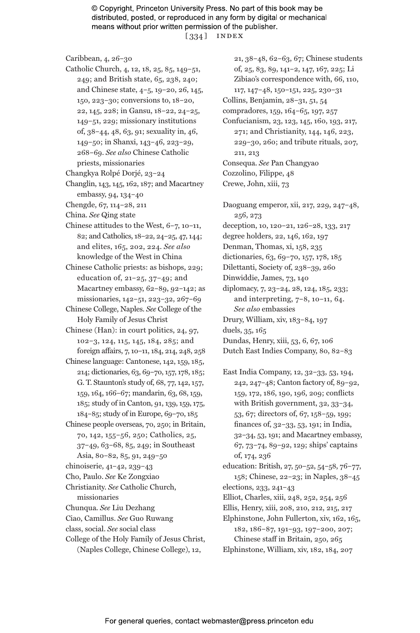© Copyright, Princeton University Press. No part of this book may be distributed, posted, or reproduced in any form by digital or mechanical means without prior written permission of the publisher. [ 334 ] index

Caribbean, 4, 26–30

- Catholic Church, 4, 12, 18, 25, 85, 149–51, 249; and British state, 65, 238, 240; and Chinese state, 4–5, 19–20, 26, 145, 150, 223–30; conversions to, 18–20, 22, 145, 228; in Gansu, 18–22, 24–25, 149–51, 229; missionary institutions of, 38–44, 48, 63, 91; sexuality in, 46, 149–50; in Shanxi, 143–46, 223–29, 268–69. *See also* Chinese Catholic priests, missionaries
- Changkya Rolpé Dorjé, 23–24

Changlin, 143, 145, 162, 187; and Macartney embassy, 94, 134–40

- Chengde, 67, 114–28, 211
- China. *See* Qing state
- Chinese attitudes to the West, 6–7, 10–11, 82; and Catholics, 18–22, 24–25, 47, 144; and elites, 165, 202, 224. *See also* knowledge of the West in China
- Chinese Catholic priests: as bishops, 229; education of, 21–25, 37–49; and Macartney embassy, 62–89, 92–142; as missionaries, 142–51, 223–32, 267–69
- Chinese College, Naples. *See* College of the Holy Family of Jesus Christ

Chinese (Han): in court politics, 24, 97, 102–3, 124, 115, 145, 184, 285; and foreign affairs, 7, 10–11, 184, 214, 248, 258

- Chinese language: Cantonese, 142, 159, 185, 214; dictionaries, 63, 69–70, 157, 178, 185; G. T. Staunton's study of, 68, 77, 142, 157, 159, 164, 166–67; mandarin, 63, 68, 159, 185; study of in Canton, 91, 139, 159, 175, 184–85; study of in Europe, 69–70, 185
- Chinese people overseas, 70, 250; in Britain, 70, 142, 155–56, 250; Catholics, 25, 37–49, 63–68, 85, 249; in Southeast Asia, 80–82, 85, 91, 249–50
- chinoiserie, 41–42, 239–43
- Cho, Paulo. *See* Ke Zongxiao
- Christianity. *See* Catholic Church, missionaries
- Chunqua. *See* Liu Dezhang
- Ciao, Camillus. *See* Guo Ruwang
- class, social. *See* social class
- College of the Holy Family of Jesus Christ, (Naples College, Chinese College), 12,

21, 38–48, 62–63, 67; Chinese students of, 25, 83, 89, 141–2, 147, 167, 225; Li Zibiao's correspondence with, 66, 110, 117, 147–48, 150–151, 225, 230–31 Collins, Benjamin, 28–31, 51, 54 compradores, 159, 164–65, 197, 257 Confucianism, 23, 123, 145, 160, 193, 217, 271; and Christianity, 144, 146, 223, 229–30, 260; and tribute rituals, 207, 211, 213 Consequa. *See* Pan Changyao Cozzolino, Filippe, 48 Crewe, John, xiii, 73 Daoguang emperor, xii, 217, 229, 247–48, 256, 273 deception, 10, 120–21, 126–28, 133, 217 degree holders, 22, 146, 162, 197 Denman, Thomas, xi, 158, 235 dictionaries, 63, 69–70, 157, 178, 185

- Dilettanti, Society of, 238–39, 260
- Dinwiddie, James, 73, 140
- diplomacy, 7, 23–24, 28, 124, 185, 233; and interpreting, 7–8, 10–11, 64. *See also* embassies Drury, William, xiv, 183–84, 197

duels, 35, 165

- Dundas, Henry, xiii, 53, 6, 67, 106
- Dutch East Indies Company, 80, 82–83
- East India Company, 12, 32–33, 53, 194, 242, 247–48; Canton factory of, 89–92, 159, 172, 186, 190, 196, 209; conflicts with British government, 32, 33–34, 53, 67; directors of, 67, 158–59, 199; finances of, 32–33, 53, 191; in India, 32–34, 53, 191; and Macartney embassy, 67, 73–74, 89–92, 129; ships' captains of, 174, 236

education: British, 27, 50–52, 54–58, 76–77, 158; Chinese, 22–23; in Naples, 38–45 elections, 233, 241–43

- Elliot, Charles, xiii, 248, 252, 254, 256
- Ellis, Henry, xiii, 208, 210, 212, 215, 217
- Elphinstone, John Fullerton, xiv, 162, 165, 182, 186–87, 191–93, 197–200, 207; Chinese staff in Britain, 250, 265
- Elphinstone, William, xiv, 182, 184, 207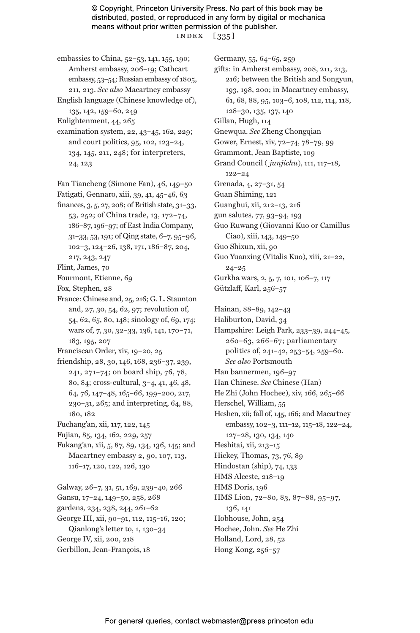© Copyright, Princeton University Press. No part of this book may be distributed, posted, or reproduced in any form by digital or mechanical means without prior written permission of the publisher. index [ 335 ]

- embassies to China, 52–53, 141, 155, 190; Amherst embassy, 206–19; Cathcart embassy, 53–54; Russian embassy of 1805, 211, 213. *See also* Macartney embassy
- English language (Chinese knowledge of), 135, 142, 159–60, 249
- Enlightenment, 44, 265
- examination system, 22, 43–45, 162, 229; and court politics, 95, 102, 123–24, 134, 145, 211, 248; for interpreters, 24, 123
- Fan Tiancheng (Simone Fan), 46, 149–50 Fatigati, Gennaro, xiii, 39, 41, 45–46, 63
- finances, 3, 5, 27, 208; of British state, 31–33, 53, 252; of China trade, 13, 172–74, 186–87, 196–97; of East India Company, 31–33, 53, 191; of Qing state, 6–7, 95–96, 102–3, 124–26, 138, 171, 186–87, 204, 217, 243, 247
- Flint, James, 70
- Fourmont, Etienne, 69
- Fox, Stephen, 28
- France: Chinese and, 25, 216; G. L. Staunton and, 27, 30, 54, 62, 97; revolution of, 54, 62, 65, 80, 148; sinology of, 69, 174; wars of, 7, 30, 32–33, 136, 141, 170–71, 183, 195, 207
- Franciscan Order, xiv, 19–20, 25
- friendship, 28, 30, 146, 168, 236–37, 239, 241, 271–74; on board ship, 76, 78, 80, 84; cross-cultural, 3–4, 41, 46, 48, 64, 76, 147–48, 165–66, 199–200, 217, 230–31, 265; and interpreting, 64, 88, 180, 182
- Fuchang'an, xii, 117, 122, 145
- Fujian, 85, 134, 162, 229, 257
- Fukang'an, xii, 5, 87, 89, 134, 136, 145; and Macartney embassy 2, 90, 107, 113, 116–17, 120, 122, 126, 130
- Galway, 26–7, 31, 51, 169, 239–40, 266 Gansu, 17–24, 149–50, 258, 268 gardens, 234, 238, 244, 261–62 George III, xii, 90–91, 112, 115–16, 120; Qianlong's letter to, 1, 130–34 George IV, xii, 200, 218 Gerbillon, Jean-François, 18

Germany, 55, 64–65, 259 gifts: in Amherst embassy, 208, 211, 213, 216; between the British and Songyun, 193, 198, 200; in Macartney embassy, 61, 68, 88, 95, 103–6, 108, 112, 114, 118, 128–30, 135, 137, 140 Gillan, Hugh, 114 Gnewqua. *See* Zheng Chongqian Gower, Ernest, xiv, 72–74, 78–79, 99 Grammont, Jean Baptiste, 109 Grand Council ( *junjichu*), 111, 117–18, 122–24 Grenada, 4, 27–31, 54 Guan Shiming, 121 Guanghui, xii, 212–13, 216 gun salutes, 77, 93–94, 193 Guo Ruwang (Giovanni Kuo or Camillus Ciao), xiii, 143, 149–50 Guo Shixun, xii, 90 Guo Yuanxing (Vitalis Kuo), xiii, 21–22, 24–25 Gurkha wars, 2, 5, 7, 101, 106–7, 117 Gützlaff, Karl, 256–57

Hainan, 88–89, 142–43 Haliburton, David, 34 Hampshire: Leigh Park, 233–39, 244–45, 260–63, 266–67; parliamentary politics of, 241–42, 253–54, 259–60. *See also* Portsmouth Han bannermen, 196–97 Han Chinese. *See* Chinese (Han) He Zhi (John Hochee), xiv, 166, 265–66 Herschel, William, 55 Heshen, xii; fall of, 145, 166; and Macartney embassy, 102–3, 111–12, 115–18, 122–24, 127–28, 130, 134, 140 Heshitai, xii, 213–15 Hickey, Thomas, 73, 76, 89 Hindostan (ship), 74, 133 HMS Alceste, 218–19 HMS Doris, 196

HMS Lion, 72–80, 83, 87–88, 95–97, 136, 141

Hobhouse, John, 254

Hochee, John. *See* He Zhi

- Holland, Lord, 28, 52
- Hong Kong, 256–57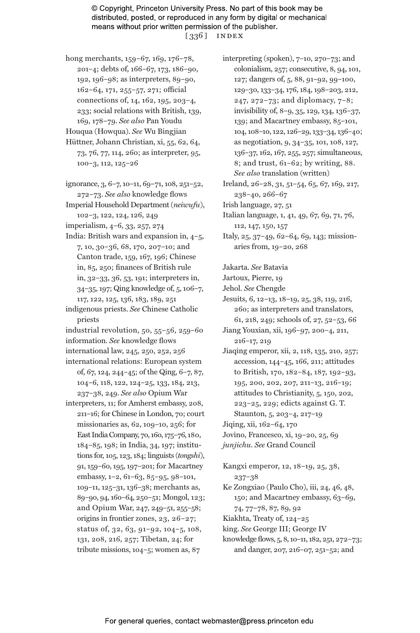© Copyright, Princeton University Press. No part of this book may be distributed, posted, or reproduced in any form by digital or mechanical means without prior written permission of the publisher. [ 336 ] index

hong merchants, 159-67, 169, 176-78, 201–4; debts of, 166–67, 173, 186–90, 192, 196–98; as interpreters, 89–90, 162–64, 171, 255–57, 271; official connections of, 14, 162, 195, 203–4, 233; social relations with British, 139, 169, 178–79. *See also* Pan Youdu

Houqua (Howqua). *See* Wu Bingjian

- Hüttner, Johann Christian, xi, 55, 62, 64, 73, 76, 77, 114, 260; as interpreter, 95, 100–3, 112, 125–26
- ignorance, 3, 6–7, 10–11, 69–71, 108, 251–52, 272–73. *See also* knowledge flows Imperial Household Department (*neiwufu*),

102–3, 122, 124, 126, 249

imperialism, 4–6, 33, 257, 274

India: British wars and expansion in, 4–5, 7, 10, 30–36, 68, 170, 207–10; and Canton trade, 159, 167, 196; Chinese in, 85, 250; finances of British rule in, 32–33, 36, 53, 191; interpreters in, 34–35, 197; Qing knowledge of, 5, 106–7, 117, 122, 125, 136, 183, 189, 251

indigenous priests. *See* Chinese Catholic priests

industrial revolution, 50, 55–56, 259–60 information. *See* knowledge flows

international law, 245, 250, 252, 256

- international relations: European system of, 67, 124, 244–45; of the Qing, 6–7, 87, 104–6, 118, 122, 124–25, 133, 184, 213, 237–38, 249. *See also* Opium War
- interpreters, 11; for Amherst embassy, 208, 211–16; for Chinese in London, 70; court missionaries as, 62, 109–10, 256; for East India Company, 70, 160, 175–76, 180, 184–85, 198; in India, 34, 197; institutions for, 105, 123, 184; linguists (*tongshi*), 91, 159–60, 195, 197–201; for Macartney embassy, 1–2, 61–63, 85–95, 98–101, 109–11, 125–31, 136–38; merchants as, 89–90, 94, 160–64, 250–51; Mongol, 123; and Opium War, 247, 249–51, 255–58; origins in frontier zones, 23, 26–27; status of, 32, 63, 91–92, 104–5, 108, 131, 208, 216, 257; Tibetan, 24; for tribute missions, 104–5; women as, 87

interpreting (spoken), 7–10, 270–73; and colonialism, 257; consecutive, 8, 94, 101, 127; dangers of, 5, 88, 91–92, 99–100, 129–30, 133–34, 176, 184, 198–203, 212, 247, 272–73; and diplomacy, 7–8; invisibility of, 8–9, 35, 129, 134, 136–37, 139; and Macartney embassy, 85–101, 104, 108–10, 122, 126–29, 133–34, 136–40; as negotiation, 9, 34–35, 101, 108, 127, 136–37, 162, 167, 255, 257; simultaneous, 8; and trust, 61–62; by writing, 88. *See also* translation (written)

Ireland, 26–28, 31, 51–54, 65, 67, 169, 217, 238–40, 266–67

Irish language, 27, 51

Italian language, 1, 41, 49, 67, 69, 71, 76, 112, 147, 150, 157

Italy, 25, 37–49, 62–64, 69, 143; missionaries from, 19–20, 268

Jakarta. *See* Batavia

Jartoux, Pierre, 19

Jehol. *See* Chengde

Jesuits, 6, 12–13, 18–19, 25, 38, 119, 216, 260; as interpreters and translators, 61, 218, 249; schools of, 27, 52–53, 66

- Jiang Youxian, xii, 196–97, 200–4, 211, 216–17, 219
- Jiaqing emperor, xii, 2, 118, 135, 210, 257; accession, 144–45, 166, 211; attitudes to British, 170, 182–84, 187, 192–93, 195, 200, 202, 207, 211–13, 216–19; attitudes to Christianity, 5, 150, 202, 223–25, 229; edicts against G. T.
- Staunton, 5, 203–4, 217–19
- Jiqing, xii, 162–64, 170
- Jovino, Francesco, xi, 19–20, 25, 69

*junjichu*. *See* Grand Council

Kangxi emperor, 12, 18–19, 25, 38, 237–38

Ke Zongxiao (Paulo Cho), iii, 24, 46, 48, 150; and Macartney embassy, 63–69, 74, 77–78, 87, 89, 92

- Kiakhta, Treaty of, 124–25
- king. *See* George III; George IV
- knowledge flows, 5, 8, 10–11, 182, 251, 272–73; and danger, 207, 216–07, 251–52; and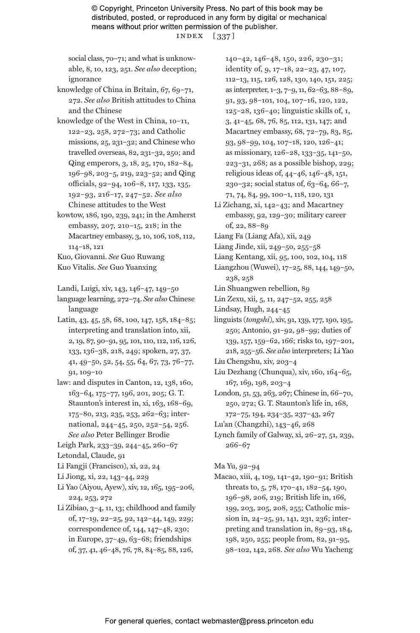© Copyright, Princeton University Press. No part of this book may be distributed, posted, or reproduced in any form by digital or mechanical means without prior written permission of the publisher. index [ 337 ]

social class, 70–71; and what is unknowable, 8, 10, 123, 251. *See also* deception; ignorance

knowledge of China in Britain, 67, 69–71, 272. *See also* British attitudes to China and the Chinese

- knowledge of the West in China, 10–11, 122–23, 258, 272–73; and Catholic missions, 25, 231–32; and Chinese who travelled overseas, 82, 231–32, 250; and Qing emperors, 3, 18, 25, 170, 182–84, 196–98, 203–5, 219, 223–52; and Qing officials, 92–94, 106–8, 117, 133, 135, 192–93, 216–17, 247–52. *See also* Chinese attitudes to the West
- kowtow, 186, 190, 239, 241; in the Amherst embassy, 207, 210–15, 218; in the Macartney embassy, 3, 10, 106, 108, 112, 114–18, 121
- Kuo, Giovanni. *See* Guo Ruwang
- Kuo Vitalis. *See* Guo Yuanxing

Landi, Luigi, xiv, 143, 146–47, 149–50

language learning, 272–74. *See also* Chinese language

Latin, 43, 45, 58, 68, 100, 147, 158, 184–85; interpreting and translation into, xii, 2, 19, 87, 90–91, 95, 101, 110, 112, 116, 126, 133, 136–38, 218, 249; spoken, 27, 37, 41, 49–50, 52, 54, 55, 64, 67, 73, 76–77, 91, 109–10

- law: and disputes in Canton, 12, 138, 160, 163–64, 175–77, 196, 201, 205; G. T. Staunton's interest in, xi, 163, 168–69, 175–80, 213, 235, 253, 262–63; international, 244–45, 250, 252–54, 256. *See also* Peter Bellinger Brodie
- Leigh Park, 233–39, 244–45, 260–67 Letondal, Claude, 91
- Li Fangji (Francisco), xi, 22, 24
- Li Jiong, xi, 22, 143–44, 229
- Li Yao (Aiyou, Ayew), xiv, 12, 165, 195–206, 224, 253, 272
- Li Zibiao, 3–4, 11, 13; childhood and family of, 17–19, 22–25, 92, 142–44, 149, 229; correspondence of, 144, 147–48, 230; in Europe, 37–49, 63–68; friendships of, 37, 41, 46–48, 76, 78, 84–85, 88, 126,

140–42, 146–48, 150, 226, 230–31; identity of, 9, 17–18, 22–23, 47, 107, 112–13, 115, 126, 128, 130, 140, 151, 225; as interpreter, 1–3, 7–9, 11, 62–63, 88–89, 91, 93, 98–101, 104, 107–16, 120, 122, 125–28, 136–40; linguistic skills of, 1, 3, 41–45, 68, 76, 85, 112, 131, 147; and Macartney embassy, 68, 72–79, 83, 85, 93, 98–99, 104, 107–18, 120, 126–41; as missionary, 126–28, 133–35, 141–50, 223–31, 268; as a possible bishop, 229; religious ideas of, 44–46, 146–48, 151, 230–32; social status of, 63–64, 66–7, 71, 74, 84, 99, 100–1, 118, 120, 131

- Li Zichang, xi, 142–43; and Macartney embassy, 92, 129–30; military career of, 22, 88–89
- Liang Fa (Liang Afa), xii, 249
- Liang Jinde, xii, 249–50, 255–58
- Liang Kentang, xii, 95, 100, 102, 104, 118
- Liangzhou (Wuwei), 17–25, 88, 144, 149–50, 238, 258

Lin Shuangwen rebellion, 89

Lin Zexu, xii, 5, 11, 247–52, 255, 258

Lindsay, Hugh, 244–45

- linguists (*tongshi*), xiv, 91, 139, 177, 190, 195, 250; Antonio, 91–92, 98–99; duties of 139, 157, 159–62, 166; risks to, 197–201, 218, 255–56. *See also* interpreters; Li Yao
- Liu Chengshu, xiv, 203–4
- Liu Dezhang (Chunqua), xiv, 160, 164–65, 167, 169, 198, 203–4
- London, 51, 53, 263, 267; Chinese in, 66–70, 250, 272; G. T. Staunton's life in, 168, 172–75, 194, 234–35, 237–43, 267
- Lu'an (Changzhi), 143–46, 268
- Lynch family of Galway, xi, 26–27, 51, 239, 266–67

Ma Yu, 92–94

Macao, xiii, 4, 109, 141–42, 190–91; British threats to, 5, 78, 170–41, 182–54, 190, 196–98, 206, 219; British life in, 166, 199, 203, 205, 208, 255; Catholic mission in, 24–25, 91, 141, 231, 236; interpreting and translation in, 89–93, 184, 198, 250, 255; people from, 82, 91–95, 98–102, 142, 268. *See also* Wu Yacheng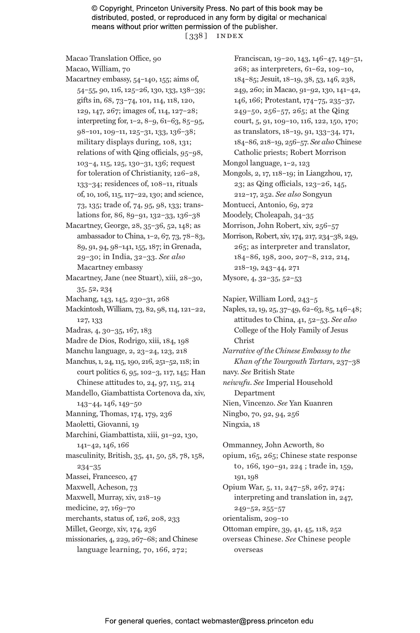© Copyright, Princeton University Press. No part of this book may be distributed, posted, or reproduced in any form by digital or mechanical means without prior written permission of the publisher. [ 338 ] index

Macao Translation Office, 90 Macao, William, 70 Macartney embassy, 54–140, 155; aims of, 54–55, 90, 116, 125–26, 130, 133, 138–39; gifts in, 68, 73–74, 101, 114, 118, 120, 129, 147, 267; images of, 114, 127–28; interpreting for, 1–2, 8–9, 61–63, 85–95, 98–101, 109–11, 125–31, 133, 136–38; military displays during, 108, 131; relations of with Qing officials, 95–98, 103–4, 115, 125, 130–31, 136; request for toleration of Christianity, 126–28, 133–34; residences of, 108–11, rituals of, 10, 106, 115, 117–22, 130; and science, 73, 135; trade of, 74, 95, 98, 133; translations for, 86, 89–91, 132–33, 136–38 Macartney, George, 28, 35–36, 52, 148; as ambassador to China, 1–2, 67, 73, 78–83, 89, 91, 94, 98–141, 155, 187; in Grenada, 29–30; in India, 32–33. *See also* Macartney embassy Macartney, Jane (nee Stuart), xiii, 28–30, 35, 52, 234 Machang, 143, 145, 230–31, 268 Mackintosh, William, 73, 82, 98, 114, 121–22, 127, 133 Madras, 4, 30–35, 167, 183 Madre de Dios, Rodrigo, xiii, 184, 198 Manchu language, 2, 23–24, 123, 218 Manchus, 1, 24, 115, 190, 216, 251–52, 118; in court politics 6, 95, 102–3, 117, 145; Han Chinese attitudes to, 24, 97, 115, 214 Mandello, Giambattista Cortenova da, xiv, 143–44, 146, 149–50 Manning, Thomas, 174, 179, 236 Maoletti, Giovanni, 19 Marchini, Giambattista, xiii, 91–92, 130, 141–42, 146, 166 masculinity, British, 35, 41, 50, 58, 78, 158, 234–35 Massei, Francesco, 47 Maxwell, Acheson, 73 Maxwell, Murray, xiv, 218–19 medicine, 27, 169–70 merchants, status of, 126, 208, 233 Millet, George, xiv, 174, 236

missionaries, 4, 229, 267–68; and Chinese language learning, 70, 166, 272;

Franciscan, 19–20, 143, 146–47, 149–51, 268; as interpreters, 61–62, 109–10, 184–85; Jesuit, 18–19, 38, 53, 146, 238, 249, 260; in Macao, 91–92, 130, 141–42, 146, 166; Protestant, 174–75, 235–37, 249–50, 256–57, 265; at the Qing court, 5, 91, 109–10, 116, 122, 150, 170; as translators, 18–19, 91, 133–34, 171, 184–86, 218–19, 256–57. *See also* Chinese Catholic priests; Robert Morrison Mongol language, 1–2, 123 Mongols, 2, 17, 118–19; in Liangzhou, 17, 23; as Qing officials, 123–26, 145, 212–17, 252. *See also* Songyun Montucci, Antonio, 69, 272

Moodely, Choleapah, 34–35

Morrison, John Robert, xiv, 256–57

Morrison, Robert, xiv, 174, 217, 234–38, 249, 265; as interpreter and translator, 184–86, 198, 200, 207–8, 212, 214, 218–19, 243–44, 271 Mysore, 4, 32–35, 52–53

Napier, William Lord, 243–5

Naples, 12, 19, 25, 37–49, 62–63, 85, 146–48; attitudes to China, 41, 52–53. *See also* College of the Holy Family of Jesus Christ *Narrative of the Chinese Embassy to the* 

*Khan of the Tourgouth Tartars*, 237–38 navy. *See* British State *neiwufu*. *See* Imperial Household Department

Nien, Vincenzo. *See* Yan Kuanren Ningbo, 70, 92, 94, 256 Ningxia, 18

Ommanney, John Acworth, 80 opium, 165, 265; Chinese state response to, 166, 190–91, 224 ; trade in, 159, 191, 198 Opium War, 5, 11, 247–58, 267, 274; interpreting and translation in, 247, 249–52, 255–57 orientalism, 209–10 Ottoman empire, 39, 41, 45, 118, 252 overseas Chinese. *See* Chinese people overseas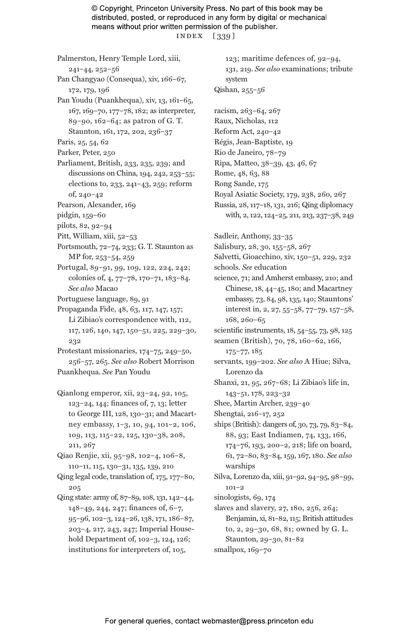© Copyright, Princeton University Press. No part of this book may be distributed, posted, or reproduced in any form by digital or mechanical means without prior written permission of the publisher. index [ 339 ]

Palmerston, Henry Temple Lord, xiii, 241–44, 252–56 Pan Changyao (Consequa), xiv, 166–67, 172, 179, 196 Pan Youdu (Puankhequa), xiv, 13, 161–65, 167, 169–70, 177–78, 182; as interpreter, 89–90, 162–64; as patron of G. T. Staunton, 161, 172, 202, 236–37 Paris, 25, 54, 62 Parker, Peter, 250 Parliament, British, 233, 235, 239; and discussions on China, 194, 242, 253–55; elections to, 233, 241–43, 259; reform of, 240–42 Pearson, Alexander, 169 pidgin, 159–60 pilots, 82, 92–94 Pitt, William, xiii, 52–53 Portsmouth, 72–74, 233; G. T. Staunton as MP for, 253–54, 259 Portugal, 89–91, 99, 109, 122, 224, 242; colonies of, 4, 77–78, 170–71, 183–84. *See also* Macao Portuguese language, 89, 91 Propaganda Fide, 48, 63, 117, 147, 157; Li Zibiao's correspondence with, 112, 117, 126, 140, 147, 150–51, 225, 229–30, 232 Protestant missionaries, 174–75, 249–50, 256–57, 265. *See also* Robert Morrison Puankhequa. *See* Pan Youdu Qianlong emperor, xii, 23–24, 92, 105, 123–24, 144; finances of, 7, 13; letter to George III, 128, 130–31; and Macartney embassy, 1–3, 10, 94, 101–2, 106, 109, 113, 115–22, 125, 130–38, 208, 211, 267 Qiao Renjie, xii, 95–98, 102–4, 106–8, 110–11, 115, 130–31, 135, 139, 210 Qing legal code, translation of, 175, 177–80, 205 Qing state: army of, 87–89, 108, 131, 142–44, 148–49, 244, 247; finances of, 6–7, 95–96, 102–3, 124–26, 138, 171, 186–87, 203–4, 217, 243, 247; Imperial Household Department of, 102–3, 124, 126; institutions for interpreters of, 105,

123; maritime defences of, 92–94, 131, 219. *See also* examinations; tribute system Qishan, 255–56 racism, 263–64, 267 Raux, Nicholas, 112 Reform Act, 240–42 Régis, Jean-Baptiste, 19 Rio de Janeiro, 78–79 Ripa, Matteo, 38–39, 43, 46, 67 Rome, 48, 63, 88 Rong Sande, 175 Royal Asiatic Society, 179, 238, 260, 267 Russia, 28, 117–18, 131, 216; Qing diplomacy with, 2, 122, 124–25, 211, 213, 237–38, 249 Sadleir, Anthony, 33–35 Salisbury, 28, 30, 155–58, 267 Salvetti, Gioacchino, xiv, 150–51, 229, 232 schools. *See* education science, 71; and Amherst embassy, 210; and Chinese, 18, 44–45, 180; and Macartney embassy, 73, 84, 98, 135, 140; Stauntons' interest in, 2, 27, 55–58, 77–79, 157–58, 168, 260–65 scientific instruments, 18, 54–55, 73, 98, 125 seamen (British), 70, 78, 160–62, 166, 175–77, 185 servants, 199–202. *See also* A Hiue; Silva, Lorenzo da Shanxi, 21, 95, 267–68; Li Zibiao's life in, 143–51, 178, 223–32 Shee, Martin Archer, 239–40 Shengtai, 216–17, 252 ships (British): dangers of, 30, 73, 79, 83–84, 88, 93; East Indiamen, 74, 133, 166, 174–76, 193, 200–2, 218; life on board, 61, 72–80, 83–84, 159, 167, 180. *See also* warships Silva, Lorenzo da, xiii, 91–92, 94–95, 98–99, 101–2 sinologists, 69, 174 slaves and slavery, 27, 180, 256, 264; Benjamin, xi, 81–82, 115; British attitudes to, 2, 29–30, 68, 81; owned by G. L. Staunton, 29–30, 81–82 smallpox, 169–70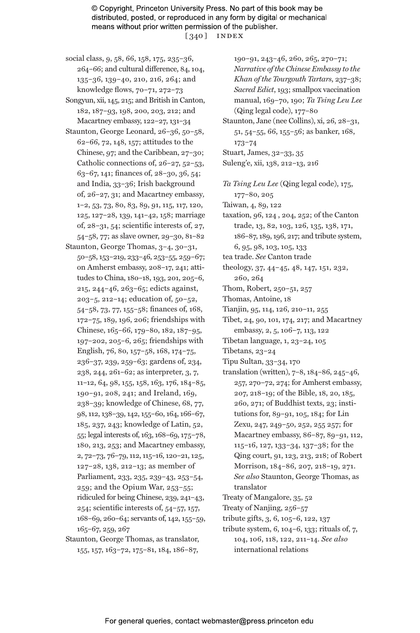© Copyright, Princeton University Press. No part of this book may be distributed, posted, or reproduced in any form by digital or mechanical means without prior written permission of the publisher. [ 340 ] index

- social class, 9, 58, 66, 158, 175, 235–36, 264–66; and cultural difference, 84, 104, 135–36, 139–40, 210, 216, 264; and knowledge flows, 70–71, 272–73
- Songyun, xii, 145, 215; and British in Canton, 182, 187–93, 198, 200, 203, 212; and Macartney embassy, 122–27, 131–34
- Staunton, George Leonard, 26–36, 50–58, 62–66, 72, 148, 157; attitudes to the Chinese, 97; and the Caribbean, 27–30; Catholic connections of, 26–27, 52–53, 63–67, 141; finances of, 28–30, 36, 54; and India, 33–36; Irish background of, 26–27, 31; and Macartney embassy*,* 1–2, 53, 73, 80, 83, 89, 91, 115, 117, 120, 125, 127–28, 139, 141–42, 158; marriage of, 28–31, 54; scientific interests of, 27, 54–58, 77; as slave owner, 29–30, 81–82
- Staunton, George Thomas, 3–4, 30–31, 50–58, 153–219, 233–46, 253–55, 259–67; on Amherst embassy, 208–17, 241; attitudes to China, 180–18, 193, 201, 205–6, 215, 244–46, 263–65; edicts against, 203–5, 212–14; education of, 50–52, 54–58, 73, 77, 155–58; finances of, 168, 172–75, 189, 196, 206; friendships with Chinese, 165–66, 179–80, 182, 187–95, 197–202, 205–6, 265; friendships with English, 76, 80, 157–58, 168, 174–75, 236–37, 239, 259–63; gardens of, 234, 238, 244, 261–62; as interpreter, 3, 7, 11–12, 64, 98, 155, 158, 163, 176, 184–85, 190–91, 208, 241; and Ireland, 169, 238–39; knowledge of Chinese, 68, 77, 98, 112, 138–39, 142, 155–60, 164, 166–67, 185, 237, 243; knowledge of Latin, 52, 55; legal interests of, 163, 168–69, 175–78, 180, 213, 253; and Macartney embassy, 2, 72–73, 76–79, 112, 115–16, 120–21, 125, 127–28, 138, 212–13; as member of Parliament, 233, 235, 239–43, 253–54, 259; and the Opium War, 253–55; ridiculed for being Chinese, 239, 241–43, 254; scientific interests of, 54–57, 157, 168–69, 260–64; servants of, 142, 155–59, 165–67, 259, 267
- Staunton, George Thomas, as translator, 155, 157, 163–72, 175–81, 184, 186–87,

190–91, 243–46, 260, 265, 270–71; *Narrative of the Chinese Embassy to the Khan of the Tourgouth Tartars*, 237–38; *Sacred Edict*, 193; smallpox vaccination manual, 169–70, 190; *Ta Tsing Leu Lee* (Qing legal code), 177–80

- Staunton, Jane (nee Collins), xi, 26, 28–31, 51, 54–55, 66, 155–56; as banker, 168, 173–74
- Stuart, James, 32–33, 35
- Suleng'e, xii, 138, 212–13, 216
- *Ta Tsing Leu Lee* (Qing legal code), 175, 177–80, 205 Taiwan, 4, 89, 122
- taxation, 96, 124 , 204, 252; of the Canton trade, 13, 82, 103, 126, 135, 138, 171, 186–87, 189, 196, 217; and tribute system, 6, 95, 98, 103, 105, 133
- tea trade. *See* Canton trade
- theology, 37, 44–45, 48, 147, 151, 232, 260, 264
- Thom, Robert, 250–51, 257
- Thomas, Antoine, 18
- Tianjin, 95, 114, 126, 210–11, 255
- Tibet, 24, 90, 101, 174, 217; and Macartney embassy, 2, 5, 106–7, 113, 122
- Tibetan language, 1, 23–24, 105
- Tibetans, 23–24
- Tipu Sultan, 33–34, 170
- translation (written), 7–8, 184–86, 245–46, 257, 270–72, 274; for Amherst embassy, 207, 218–19; of the Bible, 18, 20, 185, 260, 271; of Buddhist texts, 23; institutions for, 89–91, 105, 184; for Lin Zexu, 247, 249–50, 252, 255 257; for Macartney embassy, 86–87, 89–91, 112, 115–16, 127, 133–34, 137–38; for the Qing court, 91, 123, 213, 218; of Robert Morrison, 184–86, 207, 218–19, 271. *See also* Staunton, George Thomas, as translator
- Treaty of Mangalore, 35, 52
- Treaty of Nanjing, 256–57
- tribute gifts, 3, 6, 105–6, 122, 137
- tribute system, 6, 104–6, 133; rituals of, 7, 104, 106, 118, 122, 211–14. *See also* international relations